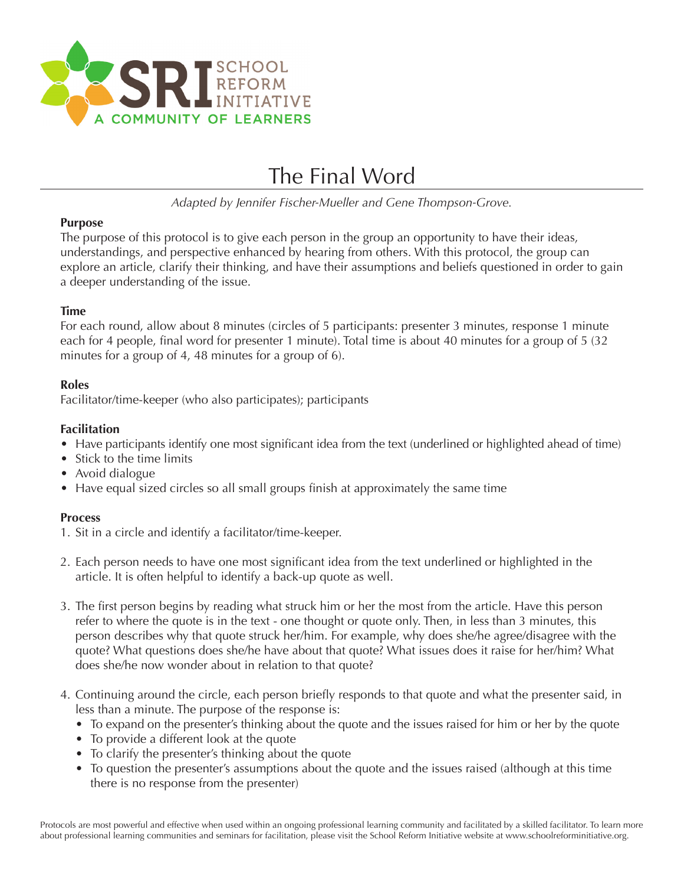

# The Final Word

*Adapted by Jennifer Fischer-Mueller and Gene Thompson-Grove.*

#### **Purpose**

The purpose of this protocol is to give each person in the group an opportunity to have their ideas, understandings, and perspective enhanced by hearing from others. With this protocol, the group can explore an article, clarify their thinking, and have their assumptions and beliefs questioned in order to gain a deeper understanding of the issue.

# **Time**

For each round, allow about 8 minutes (circles of 5 participants: presenter 3 minutes, response 1 minute each for 4 people, final word for presenter 1 minute). Total time is about 40 minutes for a group of 5 (32 minutes for a group of 4, 48 minutes for a group of 6).

# **Roles**

Facilitator/time-keeper (who also participates); participants

# **Facilitation**

- Have participants identify one most significant idea from the text (underlined or highlighted ahead of time)
- Stick to the time limits
- Avoid dialogue
- Have equal sized circles so all small groups finish at approximately the same time

# **Process**

- 1. Sit in a circle and identify a facilitator/time-keeper.
- 2. Each person needs to have one most significant idea from the text underlined or highlighted in the article. It is often helpful to identify a back-up quote as well.
- 3. The first person begins by reading what struck him or her the most from the article. Have this person refer to where the quote is in the text - one thought or quote only. Then, in less than 3 minutes, this person describes why that quote struck her/him. For example, why does she/he agree/disagree with the quote? What questions does she/he have about that quote? What issues does it raise for her/him? What does she/he now wonder about in relation to that quote?
- 4. Continuing around the circle, each person briefly responds to that quote and what the presenter said, in less than a minute. The purpose of the response is:
	- To expand on the presenter's thinking about the quote and the issues raised for him or her by the quote
	- To provide a different look at the quote
	- To clarify the presenter's thinking about the quote
	- To question the presenter's assumptions about the quote and the issues raised (although at this time there is no response from the presenter)